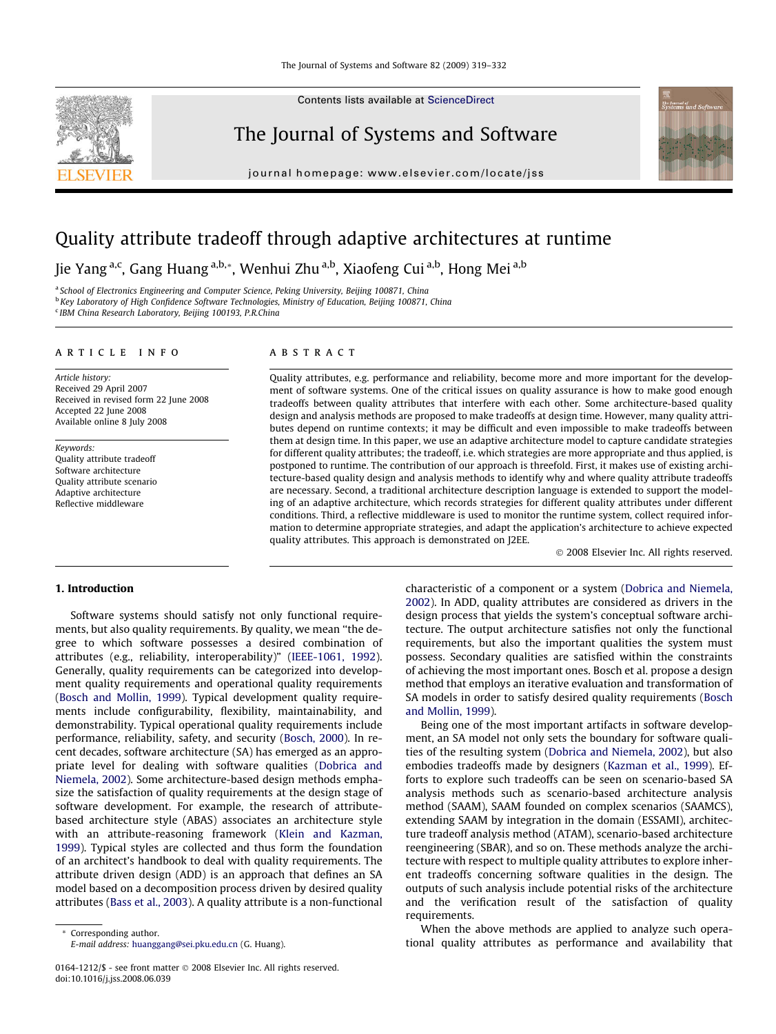Contents lists available at [ScienceDirect](http://www.sciencedirect.com/science/journal/01641212)

## The Journal of Systems and Software

journal homepage: [www.elsevier.com/locate/jss](http://www.elsevier.com/locate/jss)



## Quality attribute tradeoff through adaptive architectures at runtime

Jie Yang a,c, Gang Huang a,b,\*, Wenhui Zhu a,b, Xiaofeng Cui a,b, Hong Mei a,b

<sup>a</sup> School of Electronics Engineering and Computer Science, Peking University, Beijing 100871, China <sup>b</sup> Key Laboratory of High Confidence Software Technologies, Ministry of Education, Beijing 100871, China <sup>c</sup> IBM China Research Laboratory, Beijing 100193, P.R.China

#### article info

Article history: Received 29 April 2007 Received in revised form 22 June 2008 Accepted 22 June 2008 Available online 8 July 2008

Keywords: Quality attribute tradeoff Software architecture Quality attribute scenario Adaptive architecture Reflective middleware

### **ABSTRACT**

Quality attributes, e.g. performance and reliability, become more and more important for the development of software systems. One of the critical issues on quality assurance is how to make good enough tradeoffs between quality attributes that interfere with each other. Some architecture-based quality design and analysis methods are proposed to make tradeoffs at design time. However, many quality attributes depend on runtime contexts; it may be difficult and even impossible to make tradeoffs between them at design time. In this paper, we use an adaptive architecture model to capture candidate strategies for different quality attributes; the tradeoff, i.e. which strategies are more appropriate and thus applied, is postponed to runtime. The contribution of our approach is threefold. First, it makes use of existing architecture-based quality design and analysis methods to identify why and where quality attribute tradeoffs are necessary. Second, a traditional architecture description language is extended to support the modeling of an adaptive architecture, which records strategies for different quality attributes under different conditions. Third, a reflective middleware is used to monitor the runtime system, collect required information to determine appropriate strategies, and adapt the application's architecture to achieve expected quality attributes. This approach is demonstrated on J2EE.

- 2008 Elsevier Inc. All rights reserved.

#### 1. Introduction

Software systems should satisfy not only functional requirements, but also quality requirements. By quality, we mean ''the degree to which software possesses a desired combination of attributes (e.g., reliability, interoperability)" [\(IEEE-1061, 1992\)](#page--1-0). Generally, quality requirements can be categorized into development quality requirements and operational quality requirements ([Bosch and Mollin, 1999](#page--1-0)). Typical development quality requirements include configurability, flexibility, maintainability, and demonstrability. Typical operational quality requirements include performance, reliability, safety, and security [\(Bosch, 2000\)](#page--1-0). In recent decades, software architecture (SA) has emerged as an appropriate level for dealing with software qualities ([Dobrica and](#page--1-0) [Niemela, 2002](#page--1-0)). Some architecture-based design methods emphasize the satisfaction of quality requirements at the design stage of software development. For example, the research of attributebased architecture style (ABAS) associates an architecture style with an attribute-reasoning framework [\(Klein and Kazman,](#page--1-0) [1999\)](#page--1-0). Typical styles are collected and thus form the foundation of an architect's handbook to deal with quality requirements. The attribute driven design (ADD) is an approach that defines an SA model based on a decomposition process driven by desired quality attributes ([Bass et al., 2003](#page--1-0)). A quality attribute is a non-functional

characteristic of a component or a system [\(Dobrica and Niemela,](#page--1-0) [2002](#page--1-0)). In ADD, quality attributes are considered as drivers in the design process that yields the system's conceptual software architecture. The output architecture satisfies not only the functional requirements, but also the important qualities the system must possess. Secondary qualities are satisfied within the constraints of achieving the most important ones. Bosch et al. propose a design method that employs an iterative evaluation and transformation of SA models in order to satisfy desired quality requirements ([Bosch](#page--1-0) [and Mollin, 1999](#page--1-0)).

Being one of the most important artifacts in software development, an SA model not only sets the boundary for software qualities of the resulting system [\(Dobrica and Niemela, 2002\)](#page--1-0), but also embodies tradeoffs made by designers ([Kazman et al., 1999\)](#page--1-0). Efforts to explore such tradeoffs can be seen on scenario-based SA analysis methods such as scenario-based architecture analysis method (SAAM), SAAM founded on complex scenarios (SAAMCS), extending SAAM by integration in the domain (ESSAMI), architecture tradeoff analysis method (ATAM), scenario-based architecture reengineering (SBAR), and so on. These methods analyze the architecture with respect to multiple quality attributes to explore inherent tradeoffs concerning software qualities in the design. The outputs of such analysis include potential risks of the architecture and the verification result of the satisfaction of quality requirements.

When the above methods are applied to analyze such operational quality attributes as performance and availability that

<sup>0164-1212/\$ -</sup> see front matter © 2008 Elsevier Inc. All rights reserved. doi:10.1016/j.jss.2008.06.039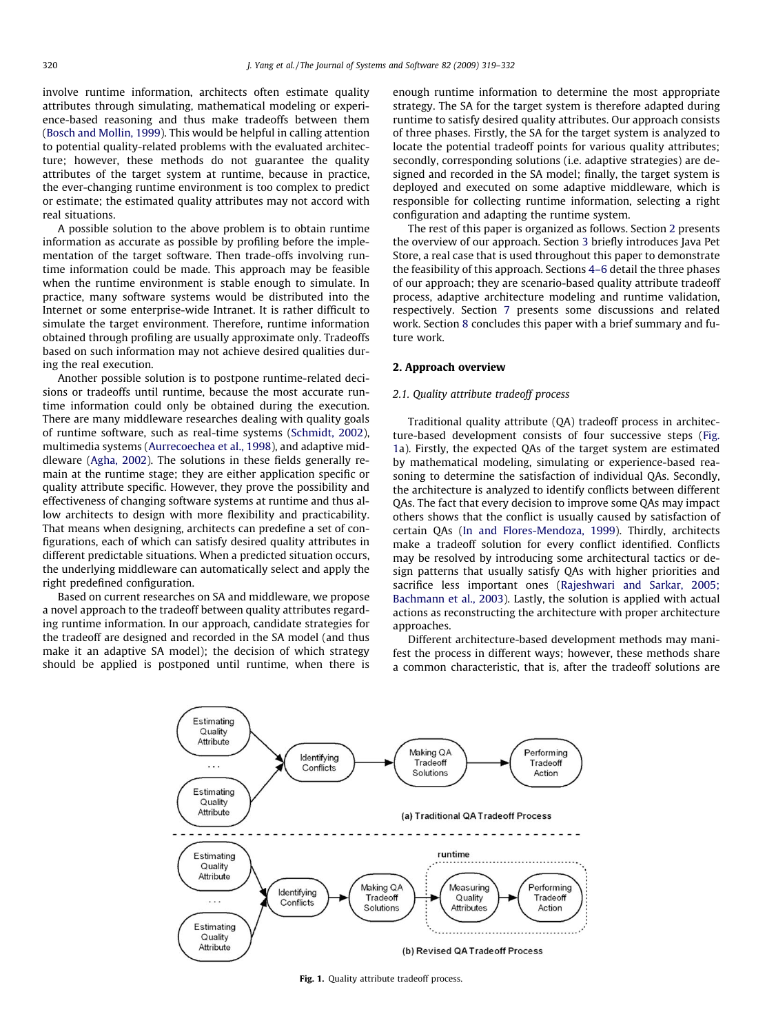involve runtime information, architects often estimate quality attributes through simulating, mathematical modeling or experience-based reasoning and thus make tradeoffs between them ([Bosch and Mollin, 1999](#page--1-0)). This would be helpful in calling attention to potential quality-related problems with the evaluated architecture; however, these methods do not guarantee the quality attributes of the target system at runtime, because in practice, the ever-changing runtime environment is too complex to predict or estimate; the estimated quality attributes may not accord with real situations.

A possible solution to the above problem is to obtain runtime information as accurate as possible by profiling before the implementation of the target software. Then trade-offs involving runtime information could be made. This approach may be feasible when the runtime environment is stable enough to simulate. In practice, many software systems would be distributed into the Internet or some enterprise-wide Intranet. It is rather difficult to simulate the target environment. Therefore, runtime information obtained through profiling are usually approximate only. Tradeoffs based on such information may not achieve desired qualities during the real execution.

Another possible solution is to postpone runtime-related decisions or tradeoffs until runtime, because the most accurate runtime information could only be obtained during the execution. There are many middleware researches dealing with quality goals of runtime software, such as real-time systems ([Schmidt, 2002\)](#page--1-0), multimedia systems [\(Aurrecoechea et al., 1998](#page--1-0)), and adaptive middleware ([Agha, 2002\)](#page--1-0). The solutions in these fields generally remain at the runtime stage; they are either application specific or quality attribute specific. However, they prove the possibility and effectiveness of changing software systems at runtime and thus allow architects to design with more flexibility and practicability. That means when designing, architects can predefine a set of configurations, each of which can satisfy desired quality attributes in different predictable situations. When a predicted situation occurs, the underlying middleware can automatically select and apply the right predefined configuration.

Based on current researches on SA and middleware, we propose a novel approach to the tradeoff between quality attributes regarding runtime information. In our approach, candidate strategies for the tradeoff are designed and recorded in the SA model (and thus make it an adaptive SA model); the decision of which strategy should be applied is postponed until runtime, when there is enough runtime information to determine the most appropriate strategy. The SA for the target system is therefore adapted during runtime to satisfy desired quality attributes. Our approach consists of three phases. Firstly, the SA for the target system is analyzed to locate the potential tradeoff points for various quality attributes; secondly, corresponding solutions (i.e. adaptive strategies) are designed and recorded in the SA model; finally, the target system is deployed and executed on some adaptive middleware, which is responsible for collecting runtime information, selecting a right configuration and adapting the runtime system.

The rest of this paper is organized as follows. Section 2 presents the overview of our approach. Section [3](#page--1-0) briefly introduces Java Pet Store, a real case that is used throughout this paper to demonstrate the feasibility of this approach. Sections [4–6](#page--1-0) detail the three phases of our approach; they are scenario-based quality attribute tradeoff process, adaptive architecture modeling and runtime validation, respectively. Section [7](#page--1-0) presents some discussions and related work. Section [8](#page--1-0) concludes this paper with a brief summary and future work.

#### 2. Approach overview

#### 2.1. Quality attribute tradeoff process

Traditional quality attribute (QA) tradeoff process in architecture-based development consists of four successive steps (Fig. 1a). Firstly, the expected QAs of the target system are estimated by mathematical modeling, simulating or experience-based reasoning to determine the satisfaction of individual QAs. Secondly, the architecture is analyzed to identify conflicts between different QAs. The fact that every decision to improve some QAs may impact others shows that the conflict is usually caused by satisfaction of certain QAs [\(In and Flores-Mendoza, 1999](#page--1-0)). Thirdly, architects make a tradeoff solution for every conflict identified. Conflicts may be resolved by introducing some architectural tactics or design patterns that usually satisfy QAs with higher priorities and sacrifice less important ones ([Rajeshwari and Sarkar, 2005;](#page--1-0) [Bachmann et al., 2003\)](#page--1-0). Lastly, the solution is applied with actual actions as reconstructing the architecture with proper architecture approaches.

Different architecture-based development methods may manifest the process in different ways; however, these methods share a common characteristic, that is, after the tradeoff solutions are



Fig. 1. Quality attribute tradeoff process.